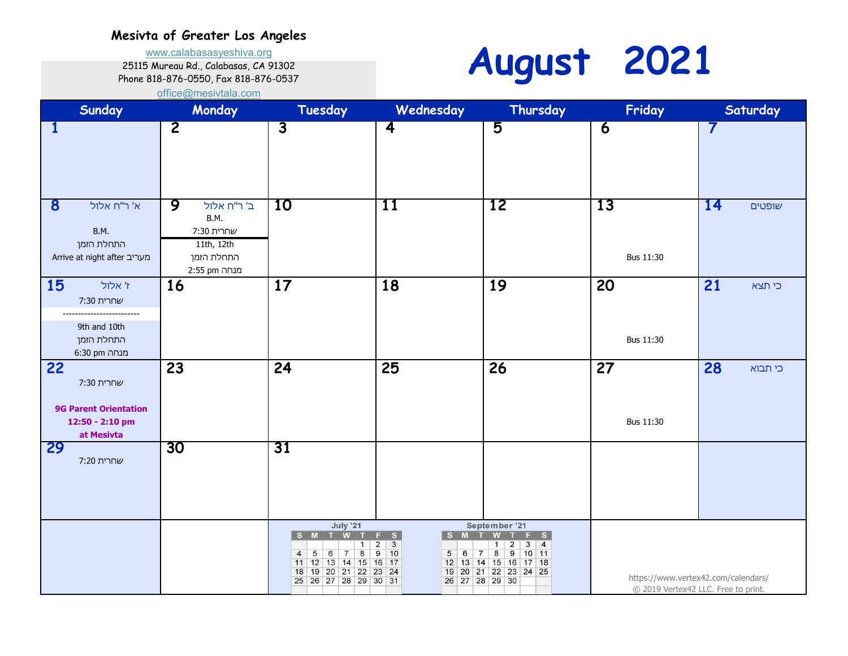www.calabasasyeshiva.org

#### 25115 Mureau Rd., Calabasas, CA 91302

#### Phone 818-876-0550, Fax 818-876-0537 [o](mailto:office@mesivtala.com)ffice@mesivtala.com



| Sunday                                                                              | Monday                                                                             | Tuesday                                                                                                                                                                 | Wednesday                                                                                                                                                               | Thursday                                                                                                                                            | Friday          | Saturday                                                                   |
|-------------------------------------------------------------------------------------|------------------------------------------------------------------------------------|-------------------------------------------------------------------------------------------------------------------------------------------------------------------------|-------------------------------------------------------------------------------------------------------------------------------------------------------------------------|-----------------------------------------------------------------------------------------------------------------------------------------------------|-----------------|----------------------------------------------------------------------------|
| 1                                                                                   | $\overline{2}$                                                                     | $\overline{3}$                                                                                                                                                          | $\overline{\mathbf{4}}$                                                                                                                                                 | 5                                                                                                                                                   | $\overline{6}$  | 7                                                                          |
| $\bf{8}$<br>א' ר"ח אלול<br><b>B.M.</b><br>התחלת הזמן<br>Arrive at night after מעריב | 9<br>ב' ר"ח אלול<br>B.M.<br>שחרית 7:30<br>11th, 12th<br>התחלת הזמן<br>מנחה 2:55 pm | 10                                                                                                                                                                      | 11                                                                                                                                                                      | <b>12</b>                                                                                                                                           | 13<br>Bus 11:30 | 14<br>שופטים                                                               |
| 15<br>ז' אלול<br>שחרית 7:30<br>9th and 10th<br>התחלת הזמן<br>מנחה 6:30 pm           | 16                                                                                 | 17                                                                                                                                                                      | 18                                                                                                                                                                      | 19                                                                                                                                                  | 20<br>Bus 11:30 | 21<br>כי תצא                                                               |
| 22<br>שחרית 7:30<br><b>9G Parent Orientation</b><br>12:50 - 2:10 pm<br>at Mesivta   | 23                                                                                 | 24                                                                                                                                                                      | 25                                                                                                                                                                      | 26                                                                                                                                                  | 27<br>Bus 11:30 | 28<br>כי תבוא                                                              |
| <b>29</b><br>שחרית 7:20                                                             | 30                                                                                 | 31                                                                                                                                                                      |                                                                                                                                                                         |                                                                                                                                                     |                 |                                                                            |
|                                                                                     |                                                                                    | <b>July '21</b><br>M<br>-S<br>1<br>$\overline{8}$<br>5<br>6<br>$\overline{7}$<br>$\overline{4}$<br>$11$   12   13   14   15  <br>18 19 20 21 22<br>25 26 27 28 29 30 31 | S.<br>F<br><b>S</b><br>$\overline{\mathbf{3}}$<br>$\overline{2}$<br>$\overline{9}$<br>10<br>5 <sup>5</sup><br>6<br>$\overline{7}$<br>$16$ 17<br>23 24<br>26 27 28 29 30 | September '21<br>s.<br>$\overline{2}$<br>$\overline{4}$<br>3<br>1<br>$\overline{8}$<br>9<br>$10$ 11<br>12 13 14 15 16 17 18<br>19 20 21 22 23 24 25 |                 | https://www.vertex42.com/calendars/<br>© 2019 Vertex42 LLC. Free to print. |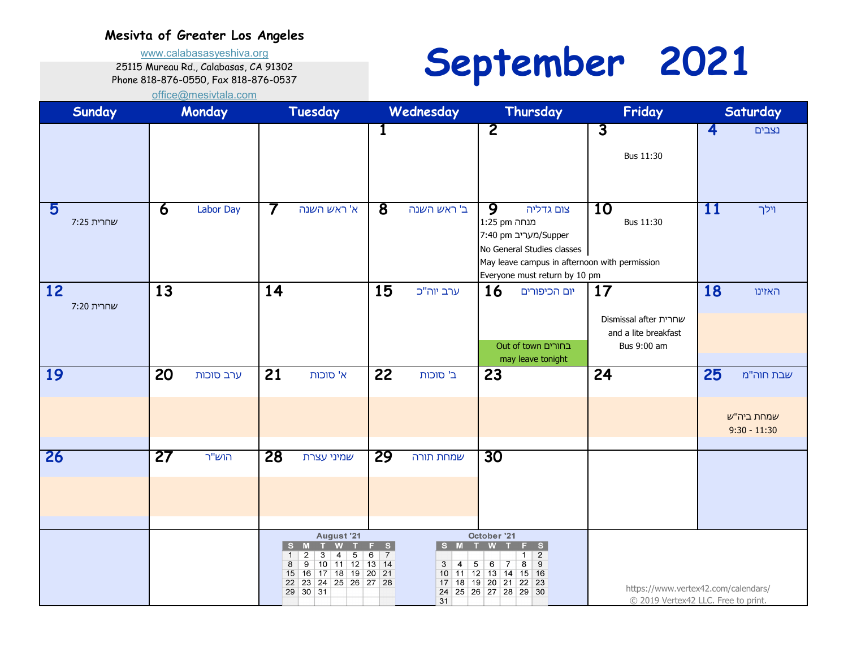www.calabasasyeshiva.org

25115 Mureau Rd., Calabasas, CA 91302 Phone 818-876-0550, Fax 818-876-0537

### **September 2021**

| Sunday           |    | Monday    |                | Tuesday                                                                                                                                                                  |                                | Wednesday                                                                                                       |                                                           | Thursday                                                                                                                                          |                | Friday                                                                     |                         | Saturday                                  |
|------------------|----|-----------|----------------|--------------------------------------------------------------------------------------------------------------------------------------------------------------------------|--------------------------------|-----------------------------------------------------------------------------------------------------------------|-----------------------------------------------------------|---------------------------------------------------------------------------------------------------------------------------------------------------|----------------|----------------------------------------------------------------------------|-------------------------|-------------------------------------------|
|                  |    |           |                |                                                                                                                                                                          | 1                              |                                                                                                                 | $\overline{2}$                                            |                                                                                                                                                   | $\overline{3}$ | Bus 11:30                                                                  | $\overline{\mathbf{4}}$ | נצבים                                     |
| 5<br>שחרית 7:25  | 6  | Labor Day | $\prime$       | א' ראש השנה                                                                                                                                                              | $\overline{\mathbf{8}}$        | ב' ראש השנה                                                                                                     | 9<br>מנחה 1:25 pm                                         | צום גדליה<br>7:40 pm מעריב)Supper<br>No General Studies classes<br>May leave campus in afternoon with permission<br>Everyone must return by 10 pm | 10             | Bus 11:30                                                                  | 11                      | וילך                                      |
| 12<br>שחרית 7:20 | 13 |           | 14             |                                                                                                                                                                          | 15                             | ערב יוה"כ                                                                                                       | <b>16</b>                                                 | יום הכיפורים<br>בחורים Out of town<br>may leave tonight                                                                                           | 17             | שחרית Dismissal after<br>and a lite breakfast<br>Bus 9:00 am               | 18                      | האזינו                                    |
| 19               | 20 | ערב סוכות | 21             | א' סוכות                                                                                                                                                                 | 22                             | ב' סוכות                                                                                                        | 23                                                        |                                                                                                                                                   | 24             |                                                                            | 25                      | שבת חוה"מ<br>שמחת ביה"ש<br>$9:30 - 11:30$ |
| 26               | 27 | הוש"ר     | 28             | שמיני עצרת                                                                                                                                                               | 29                             | שמחת תורה                                                                                                       | 30                                                        |                                                                                                                                                   |                |                                                                            |                         |                                           |
|                  |    |           | <b>S</b><br>-1 | August '21<br>M<br>$\overline{2}$<br>$\overline{5}$<br>3<br>4<br>$\overline{9}$<br>10 11 12 13 14<br>8<br>17 18 19 20 21<br>16<br>15<br>22 23 24 25 26 27 28<br>29 30 31 | S<br>F.<br>$\overline{7}$<br>6 | S M<br>$\overline{3}$<br>$\overline{4}$<br>10 11 12 13 14 15 16<br>17 18 19 20 21<br>24 25 26 27 28 29 30<br>31 | October '21<br>W<br>$\overline{5}$<br>6<br>$\overline{7}$ | F S<br>$\overline{2}$<br>1<br>8<br>$\mathbf{9}$<br>$22$ 23                                                                                        |                | https://www.vertex42.com/calendars/<br>© 2019 Vertex42 LLC. Free to print. |                         |                                           |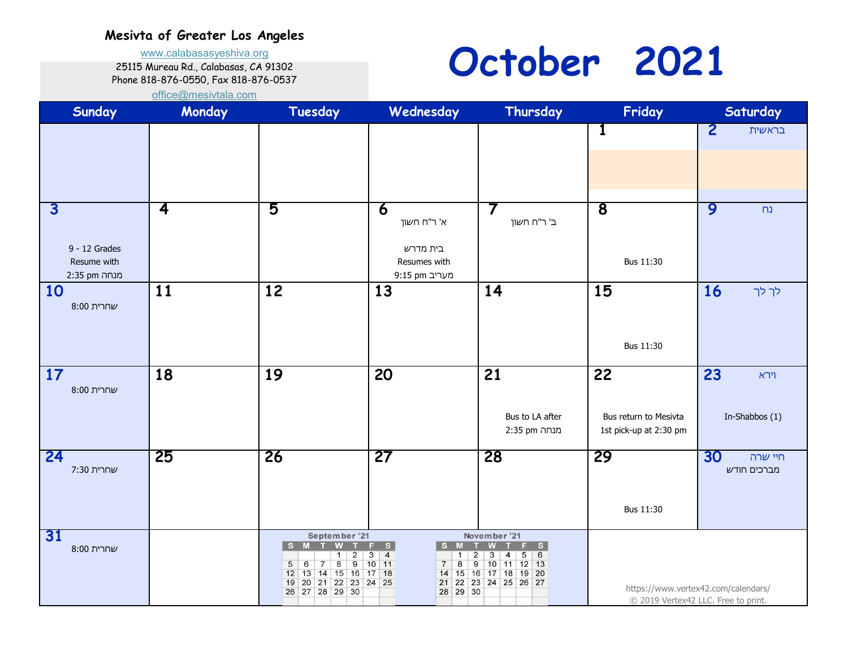www.calabasasyeshiva.org

25115 Mureau Rd., Calabasas, CA 91302

#### Phone 818-876-0550, Fax 818-876-0537

## **October 2021**

| Sunday                                                                    | Monday                  | Tuesday                                                                                                                                                                                                                    | Wednesday                                                                                                                           | Thursday                                                                                                                                                     | Friday                                                | Saturday                                                                   |
|---------------------------------------------------------------------------|-------------------------|----------------------------------------------------------------------------------------------------------------------------------------------------------------------------------------------------------------------------|-------------------------------------------------------------------------------------------------------------------------------------|--------------------------------------------------------------------------------------------------------------------------------------------------------------|-------------------------------------------------------|----------------------------------------------------------------------------|
|                                                                           |                         |                                                                                                                                                                                                                            |                                                                                                                                     |                                                                                                                                                              | 1                                                     | $\overline{\mathbf{c}}$<br>בראשית                                          |
| $\overline{\mathbf{3}}$<br>$9 - 12$ Grades<br>Resume with<br>מנחה 2:35 pm | $\overline{\mathbf{4}}$ | 5                                                                                                                                                                                                                          | $\overline{\mathbf{6}}$<br>א' ר"ח חשון<br>בית מדרש<br>Resumes with<br>9:15 pm מעריב                                                 | ב' ר"ח חשון                                                                                                                                                  | $\overline{\mathbf{8}}$<br>Bus 11:30                  | 9<br>n <sub>2</sub>                                                        |
| <b>10</b><br>שחרית 8:00                                                   | 11                      | 12                                                                                                                                                                                                                         | 13                                                                                                                                  | 14                                                                                                                                                           | 15<br>Bus 11:30                                       | <b>16</b><br>לך לך                                                         |
| <b>17</b><br>שחרית 8:00                                                   | 18                      | 19                                                                                                                                                                                                                         | 20                                                                                                                                  | 21<br>Bus to LA after<br>מנחה 2:35 pm                                                                                                                        | 22<br>Bus return to Mesivta<br>1st pick-up at 2:30 pm | 23<br>וירא<br>In-Shabbos (1)                                               |
| 24<br>שחרית 7:30                                                          | 25                      | 26                                                                                                                                                                                                                         | 27                                                                                                                                  | 28                                                                                                                                                           | 29<br>Bus 11:30                                       | 30<br>חיי שרה<br>מברכים חודש                                               |
| 31<br>שחרית 8:00                                                          |                         | September '21<br>S M T<br><b>W</b><br>$\overline{2}$<br>$\mathbf{1}$<br>$\bf 8$<br>$\overline{9}$<br>$\overline{5}$<br>$6\overline{6}$<br>$\overline{7}$<br>12 13 14 15 16 17 18<br>19 20 21 22 23 24 25<br>26 27 28 29 30 | $F-S$<br>S M T<br>$\overline{3}$<br>$\overline{4}$<br>$\mathbf{1}$<br>$10$ 11<br>$\overline{8}$<br>$\overline{7}$<br>21<br>28 29 30 | November '21<br>W T F S<br>$\overline{\mathbf{3}}$<br>56<br>$\overline{2}$<br>$\overline{4}$<br>$9$ 10 11 12 13<br>14 15 16 17 18 19 20<br>22 23 24 25 26 27 |                                                       | https://www.vertex42.com/calendars/<br>© 2019 Vertex42 LLC. Free to print. |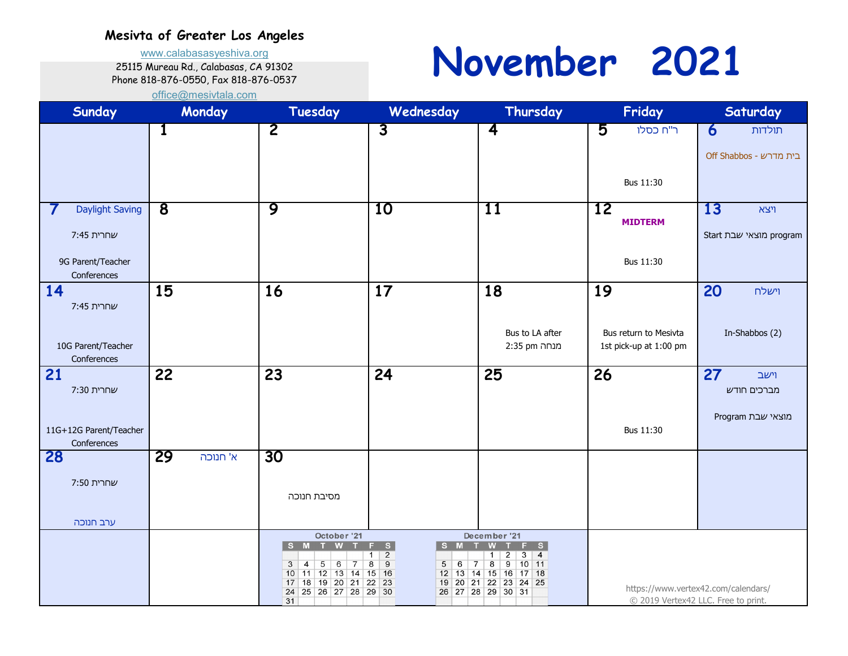www.calabasasyeshiva.org

25115 Mureau Rd., Calabasas, CA 91302

Phone 818-876-0550, Fax 818-876-0537

# **November 2021**

| Sunday                           | Monday                  | Tuesday                                                      | Wednesday                                                                  | Thursday                                                                  | Friday                 | Saturday                                                                   |
|----------------------------------|-------------------------|--------------------------------------------------------------|----------------------------------------------------------------------------|---------------------------------------------------------------------------|------------------------|----------------------------------------------------------------------------|
|                                  | 1                       | $\overline{2}$                                               | $\overline{3}$                                                             | $\overline{\mathbf{4}}$                                                   | 5<br>ר"ח כסלו          | $\overline{\mathbf{6}}$<br>תולדות                                          |
|                                  |                         |                                                              |                                                                            |                                                                           |                        | Off Shabbos - בית מדרש                                                     |
|                                  |                         |                                                              |                                                                            |                                                                           |                        |                                                                            |
|                                  |                         |                                                              |                                                                            |                                                                           | Bus 11:30              |                                                                            |
| <b>Daylight Saving</b>           | $\overline{\mathbf{8}}$ | 9                                                            | 10                                                                         | 11                                                                        | 12                     | 13<br>ױצא                                                                  |
| שחרית 7:45                       |                         |                                                              |                                                                            |                                                                           | <b>MIDTERM</b>         | Start מוצאי שבת program                                                    |
|                                  |                         |                                                              |                                                                            |                                                                           |                        |                                                                            |
| 9G Parent/Teacher<br>Conferences |                         |                                                              |                                                                            |                                                                           | Bus 11:30              |                                                                            |
| 14                               | 15                      | 16                                                           | 17                                                                         | 18                                                                        | 19                     | 20<br>וישלח                                                                |
| שחרית 7:45                       |                         |                                                              |                                                                            |                                                                           |                        |                                                                            |
|                                  |                         |                                                              |                                                                            | Bus to LA after                                                           | Bus return to Mesivta  | In-Shabbos (2)                                                             |
| 10G Parent/Teacher               |                         |                                                              |                                                                            | מנחה 2:35 pm                                                              | 1st pick-up at 1:00 pm |                                                                            |
| Conferences                      | 22                      |                                                              | 24                                                                         |                                                                           |                        | 27                                                                         |
| 21<br>שחרית 7:30                 |                         | 23                                                           |                                                                            | 25                                                                        | 26                     | וישב<br>מברכים חודש                                                        |
|                                  |                         |                                                              |                                                                            |                                                                           |                        |                                                                            |
| 11G+12G Parent/Teacher           |                         |                                                              |                                                                            |                                                                           | Bus 11:30              | מוצאי שבת Program                                                          |
| Conferences                      |                         |                                                              |                                                                            |                                                                           |                        |                                                                            |
| 28                               | 29<br>א' חנוכה          | 30                                                           |                                                                            |                                                                           |                        |                                                                            |
| שחרית 7:50                       |                         |                                                              |                                                                            |                                                                           |                        |                                                                            |
|                                  |                         | מסיבת חנוכה                                                  |                                                                            |                                                                           |                        |                                                                            |
| ערב חנוכה                        |                         |                                                              |                                                                            |                                                                           |                        |                                                                            |
|                                  |                         | October '21<br>T W<br>S M                                    | $\overline{\mathbf{s}}$<br>F.<br>S.<br>M                                   | December '21<br>W<br>F S                                                  |                        |                                                                            |
|                                  |                         | $\overline{5}$<br>3<br>$\overline{4}$<br>6<br>$\overline{7}$ | $\frac{2}{9}$<br>$\mathbf 1$<br>$\overline{8}$<br>6<br>5<br>$\overline{7}$ | $3 \mid 4$<br>$2^{\circ}$<br>$\mathbf{1}$<br>$\overline{\mathbf{8}}$<br>9 |                        |                                                                            |
|                                  |                         | 10 11 12 13 14 15 16<br>18 19 20 21<br>17                    | $22$ 23                                                                    | 12 13 14 15 16 17 18<br>19 20 21 22 23 24 25                              |                        |                                                                            |
|                                  |                         | 24 25 26 27 28 29 30<br>31                                   |                                                                            | 26 27 28 29 30 31                                                         |                        | https://www.vertex42.com/calendars/<br>© 2019 Vertex42 LLC. Free to print. |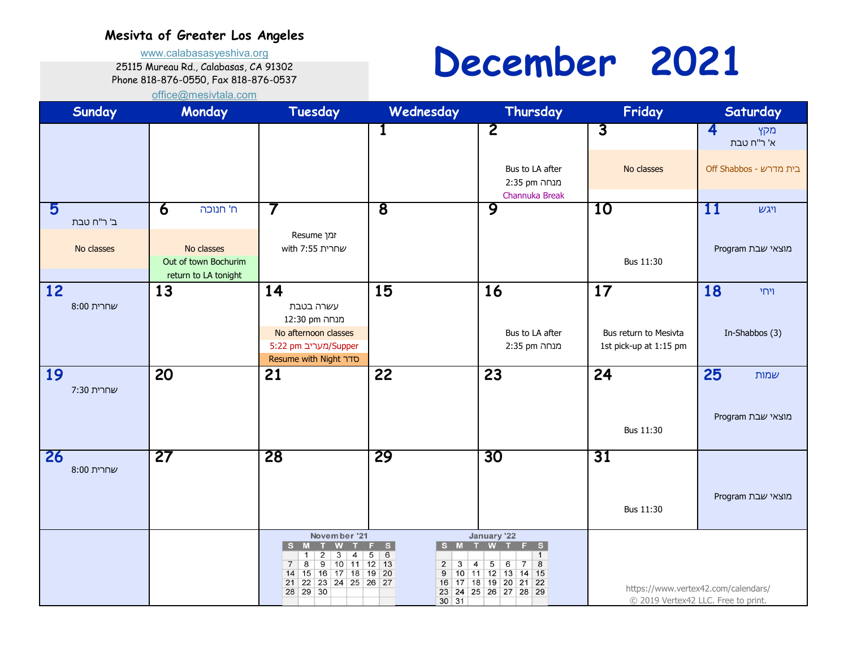www.calabasasyeshiva.org

25115 Mureau Rd., Calabasas, CA 91302

Phone 818-876-0550, Fax 818-876-0537

## **December 2021**

| Sunday                        | Monday                                                                                            | Tuesday                                                                                                                                                                                                          | Wednesday                                                                                        | Thursday                                                                                                                                                                                              | Friday                                                | Saturday                                                                   |
|-------------------------------|---------------------------------------------------------------------------------------------------|------------------------------------------------------------------------------------------------------------------------------------------------------------------------------------------------------------------|--------------------------------------------------------------------------------------------------|-------------------------------------------------------------------------------------------------------------------------------------------------------------------------------------------------------|-------------------------------------------------------|----------------------------------------------------------------------------|
|                               |                                                                                                   |                                                                                                                                                                                                                  | 1                                                                                                | $\overline{2}$<br>Bus to LA after<br>מנחה 2:35 pm<br>Channuka Break                                                                                                                                   | $\overline{3}$<br>No classes                          | 4<br>מקץ<br>א' ר"ח טבת<br>Off Shabbos - בית מדרש                           |
| 5<br>ב' ר"ח טבת<br>No classes | $\overline{\mathbf{6}}$<br>ח' חנוכה<br>No classes<br>Out of town Bochurim<br>return to LA tonight | 7<br>זמן Resume<br>שחרית 7:55 with                                                                                                                                                                               | $\overline{\mathbf{8}}$                                                                          | 9                                                                                                                                                                                                     | 10<br>Bus 11:30                                       | 11<br>ויגש<br>מוצאי שבת Program                                            |
| 12<br>שחרית 8:00              | 13                                                                                                | 14<br>עשרה בטבת<br>מנחה 12:30<br>No afternoon classes<br>5:22 pm מעריב)Supper<br><b>Resume with Night סדר</b>                                                                                                    | 15                                                                                               | 16<br>Bus to LA after<br>מנחה 2:35 pm                                                                                                                                                                 | 17<br>Bus return to Mesivta<br>1st pick-up at 1:15 pm | 18<br>ויחי<br>In-Shabbos (3)                                               |
| 19<br>שחרית 7:30              | 20                                                                                                | 21                                                                                                                                                                                                               | 22                                                                                               | 23                                                                                                                                                                                                    | 24<br>Bus 11:30                                       | 25<br>שמות<br>מוצאי שבת Program                                            |
| 26<br>שחרית 8:00              | 27                                                                                                | 28                                                                                                                                                                                                               | 29                                                                                               | 30                                                                                                                                                                                                    | 31<br>Bus 11:30                                       | מוצאי שבת Program                                                          |
|                               |                                                                                                   | November '21<br>S M<br><b>W</b><br>$\overline{3}$<br>$\overline{2}$<br>1<br>4<br>$\overline{8}$<br>$\overline{9}$<br>$10$ 11<br>$\overline{7}$<br>15 16 17 18 19 20<br>14<br>22 23 24 25 26 27<br>21<br>28 29 30 | F S<br>S M T<br>6<br>5<br>$12$ 13<br>$\overline{2}$<br>$\overline{3}$<br>9<br>16<br>$30\vert 31$ | January '22<br>W <sub>T</sub><br>F S<br>$\mathbf{1}$<br>$\bf 8$<br>5 <sup>7</sup><br>$\overline{7}$<br>$\overline{\mathbf{4}}$<br>6<br>10 11 12 13 14 15<br>17 18 19 20 21 22<br>23 24 25 26 27 28 29 |                                                       | https://www.vertex42.com/calendars/<br>© 2019 Vertex42 LLC. Free to print. |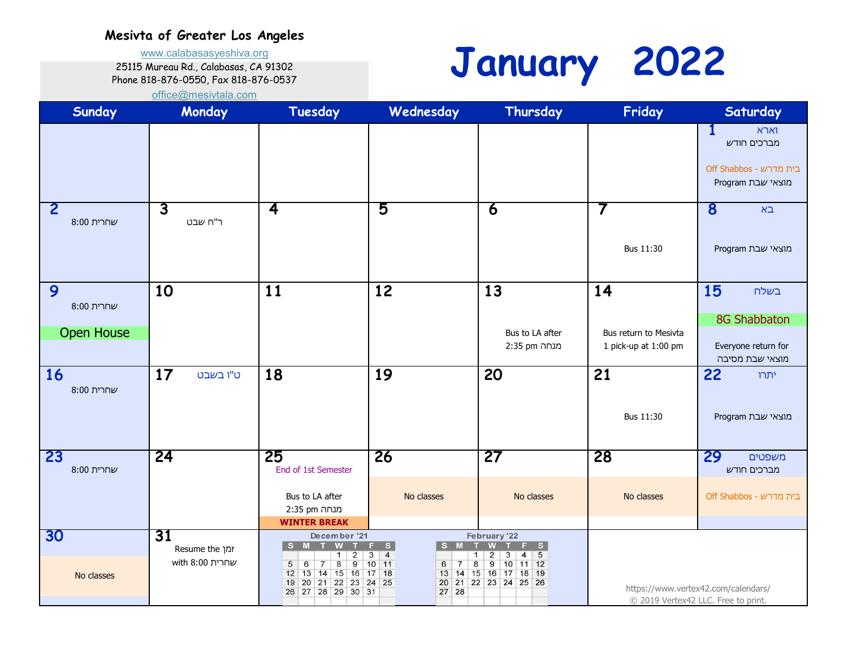www.calabasasyeshiva.org

25115 Mureau Rd., Calabasas, CA 91302

Phone 818-876-0550, Fax 818-876-0537



| Sunday                               | Monday                                  | Tuesday                                                                                                                                                                                                 | Wednesday                                                                                                                  | Thursday                                                                                                                                                        | Friday                                              | Saturday                                                                          |
|--------------------------------------|-----------------------------------------|---------------------------------------------------------------------------------------------------------------------------------------------------------------------------------------------------------|----------------------------------------------------------------------------------------------------------------------------|-----------------------------------------------------------------------------------------------------------------------------------------------------------------|-----------------------------------------------------|-----------------------------------------------------------------------------------|
|                                      |                                         |                                                                                                                                                                                                         |                                                                                                                            |                                                                                                                                                                 |                                                     | $\mathbf 1$<br>וארא<br>מברכים חודש<br>Off Shabbos - בית מדרש<br>מוצאי שבת Program |
| 2<br>שחרית 8:00                      | $\overline{\mathbf{3}}$<br>ר"ח שבט      | 4                                                                                                                                                                                                       | 5                                                                                                                          | 6                                                                                                                                                               | 7<br>Bus 11:30                                      | 8<br>$\square$<br>מוצאי שבת Program                                               |
| 9<br>שחרית 8:00<br><b>Open House</b> | 10                                      | 11                                                                                                                                                                                                      | 12                                                                                                                         | 13<br>Bus to LA after<br>מנחה 2:35 pm                                                                                                                           | 14<br>Bus return to Mesivta<br>1 pick-up at 1:00 pm | 15<br>בשלח<br>8G Shabbaton<br>Everyone return for<br>מוצאי שבת מסיבה              |
| 16<br>שחרית 8:00                     | 17<br>ט"ו בשבט                          | 18                                                                                                                                                                                                      | 19                                                                                                                         | 20                                                                                                                                                              | 21<br>Bus 11:30                                     | 22<br>יתרו<br>מוצאי שבת Program                                                   |
| 23<br>שחרית 8:00                     | 24                                      | 25<br>End of 1st Semester<br>Bus to LA after<br>מנחה 2:35 pm<br><b>WINTER BREAK</b>                                                                                                                     | 26<br>No classes                                                                                                           | 27<br>No classes                                                                                                                                                | 28<br>No classes                                    | 29<br>משפטים<br>מברכים חודש<br>Off Shabbos - בית מדרש                             |
| 30<br>No classes                     | 31<br>זמן Resume the<br>שחרית 8:00 with | December '21<br>S M T<br>W<br>$\overline{2}$<br>$\mathbf{1}$<br>$\overline{8}$<br>9<br>6<br>$5\overline{)}$<br>$\overline{7}$<br>12 13 14 15 16 17 18<br>21 22 23 24 25<br>$19$ 20<br>26 27 28 29 30 31 | F S<br>S M<br>$\top$<br>$\overline{4}$<br>3<br>$\mathbf{1}$<br>$10$ 11<br>$\overline{8}$<br>$\overline{7}$<br>6<br>$27$ 28 | February '22<br>W<br>T<br>F S<br>$\overline{2}$<br>$4 \mid 5$<br>3 <sup>2</sup><br>$\overline{9}$<br>$10$ 11 12<br>13 14 15 16 17 18 19<br>20 21 22 23 24 25 26 |                                                     | https://www.vertex42.com/calendars/<br>© 2019 Vertex42 LLC. Free to print.        |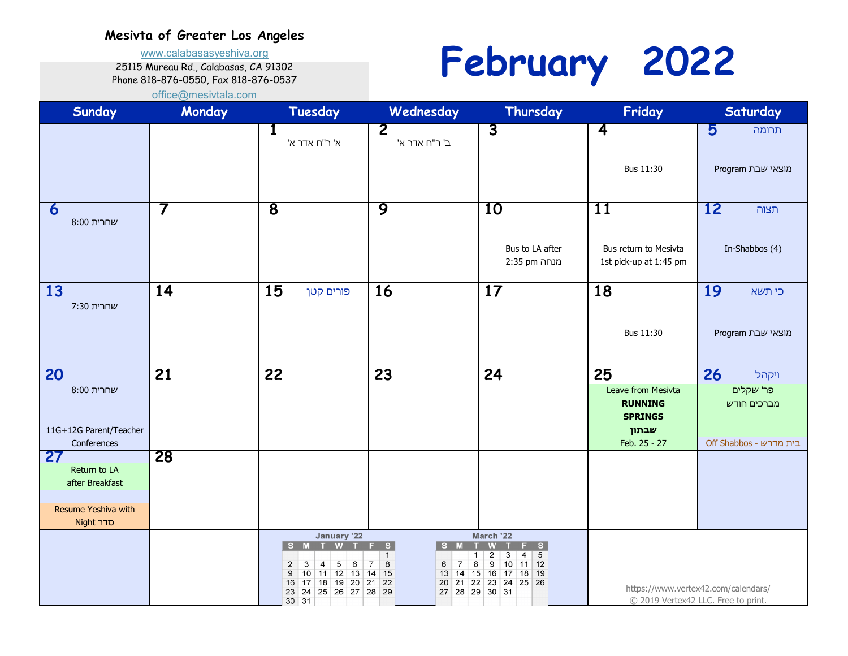www.calabasasyeshiva.org

25115 Mureau Rd., Calabasas, CA 91302

Phone 818-876-0550, Fax 818-876-0537

**February 2022**

| Sunday                    | Monday | Tuesday                                                                                                                                                                                  | Wednesday                                                                                          | Thursday                                                                                                                                                                     | Friday                                          | Saturday                                                                   |
|---------------------------|--------|------------------------------------------------------------------------------------------------------------------------------------------------------------------------------------------|----------------------------------------------------------------------------------------------------|------------------------------------------------------------------------------------------------------------------------------------------------------------------------------|-------------------------------------------------|----------------------------------------------------------------------------|
|                           |        | $\mathbf 1$<br>א' ר"ח אדר א'                                                                                                                                                             | $\overline{\mathbf{2}}$<br>"ב ר"ח אדר א                                                            | $\overline{3}$                                                                                                                                                               | $\overline{\mathbf{4}}$                         | 5<br>תרומה                                                                 |
|                           |        |                                                                                                                                                                                          |                                                                                                    |                                                                                                                                                                              | Bus 11:30                                       | מוצאי שבת Program                                                          |
| 6<br>שחרית 8:00           | 7      | $\overline{\mathbf{8}}$                                                                                                                                                                  | 9                                                                                                  | 10                                                                                                                                                                           | 11                                              | 12<br>תצוה                                                                 |
|                           |        |                                                                                                                                                                                          |                                                                                                    | Bus to LA after<br>מנחה 2:35 pm                                                                                                                                              | Bus return to Mesivta<br>1st pick-up at 1:45 pm | In-Shabbos (4)                                                             |
| 13<br>שחרית 7:30          | 14     | 15<br>פורים קטן                                                                                                                                                                          | 16                                                                                                 | 17                                                                                                                                                                           | 18                                              | 19<br>כי תשא                                                               |
|                           |        |                                                                                                                                                                                          |                                                                                                    |                                                                                                                                                                              | Bus 11:30                                       | מוצאי שבת Program                                                          |
| 20                        | 21     | 22                                                                                                                                                                                       | 23                                                                                                 | 24                                                                                                                                                                           | 25                                              | 26<br>ויקהל                                                                |
| שחרית 8:00                |        |                                                                                                                                                                                          |                                                                                                    |                                                                                                                                                                              | Leave from Mesivta                              | פר' שקלים                                                                  |
|                           |        |                                                                                                                                                                                          |                                                                                                    |                                                                                                                                                                              | <b>RUNNING</b><br><b>SPRINGS</b>                | מברכים חודש                                                                |
| 11G+12G Parent/Teacher    |        |                                                                                                                                                                                          |                                                                                                    |                                                                                                                                                                              | שבתון                                           |                                                                            |
| Conferences               |        |                                                                                                                                                                                          |                                                                                                    |                                                                                                                                                                              | Feb. 25 - 27                                    | Off Shabbos - בית מדרש                                                     |
| <b>27</b><br>Return to LA | 28     |                                                                                                                                                                                          |                                                                                                    |                                                                                                                                                                              |                                                 |                                                                            |
| after Breakfast           |        |                                                                                                                                                                                          |                                                                                                    |                                                                                                                                                                              |                                                 |                                                                            |
| Resume Yeshiva with       |        |                                                                                                                                                                                          |                                                                                                    |                                                                                                                                                                              |                                                 |                                                                            |
| <b>Night סדר</b>          |        |                                                                                                                                                                                          |                                                                                                    |                                                                                                                                                                              |                                                 |                                                                            |
|                           |        | January '22<br>S M T W T<br>$\overline{3}$<br>5<br>$6\overline{}$<br>$\overline{2}$<br>$\overline{4}$<br>10 11 12 13 14 15<br>9<br>16 17 18 19 20 21 22<br>23 24 25 26 27 28 29<br>30 31 | F S<br>S M T<br>$\mathbf{1}$<br>$\bf 8$<br>$\overline{7}$<br>6<br>$\overline{7}$<br>27 28 29 30 31 | March '22<br>W <sub>T</sub><br>F S<br>$\overline{2}$<br>$4 \mid 5$<br>3<br>$\mathbf{1}$<br>$\overline{8}$<br>9<br>$10$ 11 12<br>13 14 15 16 17 18 19<br>20 21 22 23 24 25 26 |                                                 | https://www.vertex42.com/calendars/<br>© 2019 Vertex42 LLC. Free to print. |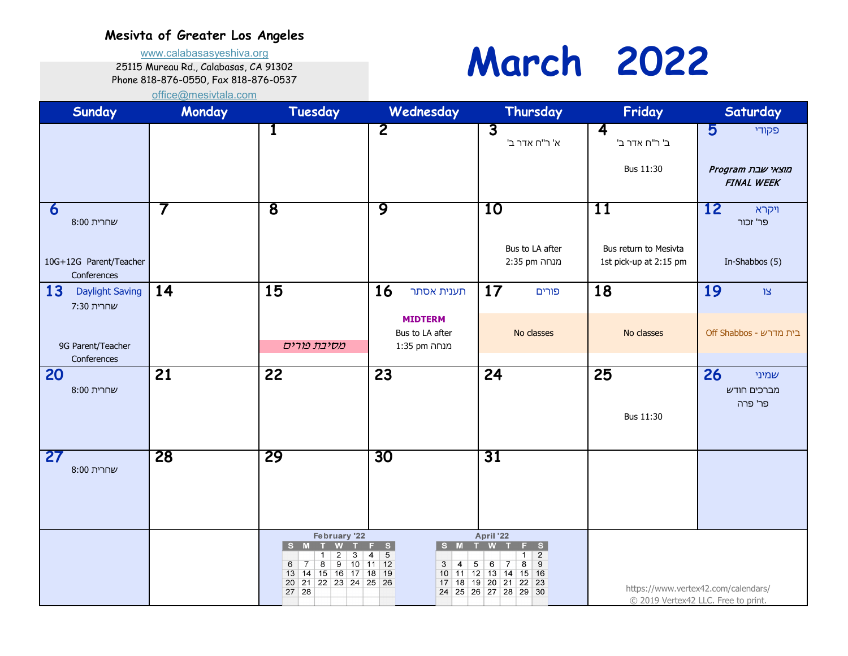www.calabasasyeshiva.org

25115 Mureau Rd., Calabasas, CA 91302

Phone 818-876-0550, Fax 818-876-0537

### **March 2022**

| Sunday                                                                                        | Monday | Tuesday                                                                                                                                                    | Wednesday                                                                                | Thursday                                                                                                                                                                                       | Friday                                                | Saturday                                                                   |
|-----------------------------------------------------------------------------------------------|--------|------------------------------------------------------------------------------------------------------------------------------------------------------------|------------------------------------------------------------------------------------------|------------------------------------------------------------------------------------------------------------------------------------------------------------------------------------------------|-------------------------------------------------------|----------------------------------------------------------------------------|
|                                                                                               |        | 1                                                                                                                                                          | $\overline{2}$                                                                           | $\overline{3}$<br>א' ר"ח אדר ב'                                                                                                                                                                | $\overline{\mathbf{4}}$<br>ב' ר"ח אדר ב'<br>Bus 11:30 | 5<br>פקודי<br>מוצאי שבת Program<br><b>FINAL WEEK</b>                       |
| 6<br>שחרית 8:00<br>10G+12G Parent/Teacher                                                     | 7      | $\overline{\mathbf{8}}$                                                                                                                                    | 9                                                                                        | 10<br>Bus to LA after<br>מנחה 2:35 pm                                                                                                                                                          | 11<br>Bus return to Mesivta<br>1st pick-up at 2:15 pm | <b>12</b><br>ויקרא<br>פר' זכור<br>In-Shabbos (5)                           |
| Conferences<br>13<br><b>Daylight Saving</b><br>שחרית 7:30<br>9G Parent/Teacher<br>Conferences | 14     | 15<br>מסיבת פורים                                                                                                                                          | <b>16</b><br>תענית אסתר<br><b>MIDTERM</b><br>Bus to LA after<br>מנחה 1:35 pm             | 17<br>פורים<br>No classes                                                                                                                                                                      | 18<br>No classes                                      | 19<br>צו<br>Off Shabbos - בית מדרש                                         |
| 20<br>שחרית 8:00                                                                              | 21     | 22                                                                                                                                                         | $\overline{23}$                                                                          | 24                                                                                                                                                                                             | 25<br>Bus 11:30                                       | 26<br>שמיני<br>מברכים חודש<br>פר' פרה                                      |
| 27<br>שחרית 8:00                                                                              | 28     | 29                                                                                                                                                         | 30                                                                                       | 31                                                                                                                                                                                             |                                                       |                                                                            |
|                                                                                               |        | February '22<br>S M<br>W<br>2<br>$\mathbf{1}$<br>3<br>8<br>$9$ 10 11 12<br>$7\overline{ }$<br>6<br>13 14 15 16 17 18 19<br>20 21 22 23 24 25 26<br>$27$ 28 | S M T<br>F.<br>S<br>$\overline{5}$<br>$\overline{4}$<br>$\overline{3}$<br>$\overline{4}$ | April '22<br><b>W</b><br>F.<br>S.<br>$\overline{2}$<br>$\mathbf{1}$<br>8<br>9<br>5 <sub>5</sub><br>6<br>$\overline{7}$<br>10 11 12 13 14 15 16<br>17 18 19 20 21 22 23<br>24 25 26 27 28 29 30 |                                                       | https://www.vertex42.com/calendars/<br>© 2019 Vertex42 LLC. Free to print. |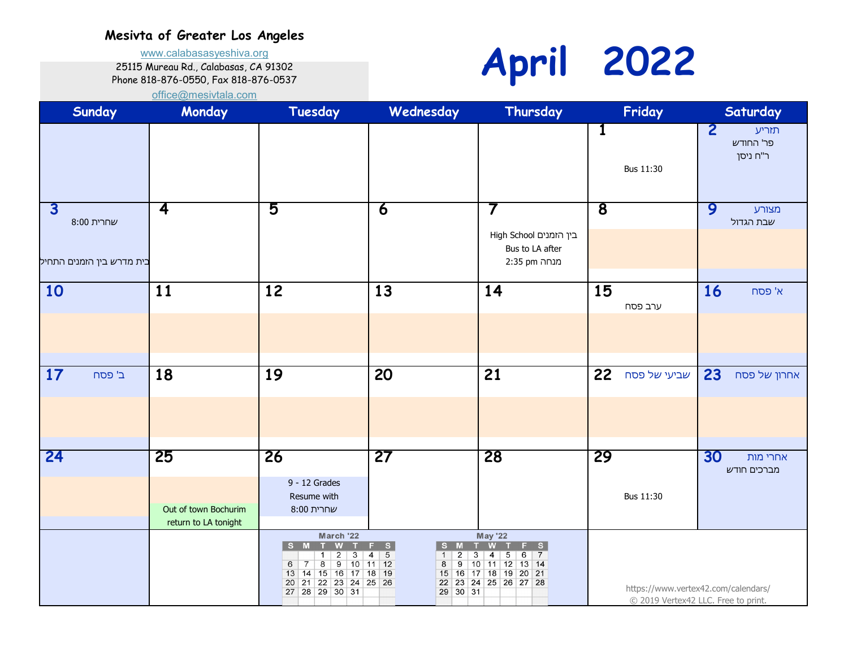www.calabasasyeshiva.org

25115 Mureau Rd., Calabasas, CA 91302

Phone 818-876-0550, Fax 818-876-0537

# **April 2022**

| Sunday                                                             | Monday                                             | Tuesday                                                                                                                                                                                                 | Wednesday                                                                                                                                            | Thursday                                                                                                                                 |                         | Friday                              | Saturday                                         |
|--------------------------------------------------------------------|----------------------------------------------------|---------------------------------------------------------------------------------------------------------------------------------------------------------------------------------------------------------|------------------------------------------------------------------------------------------------------------------------------------------------------|------------------------------------------------------------------------------------------------------------------------------------------|-------------------------|-------------------------------------|--------------------------------------------------|
|                                                                    |                                                    |                                                                                                                                                                                                         |                                                                                                                                                      |                                                                                                                                          | $\mathbf{1}$            | Bus 11:30                           | $\overline{2}$<br>תזריע<br>פר' החודש<br>ר"ח ניסן |
| $\overline{\mathbf{3}}$<br>שחרית 8:00<br>בית מדרש בין הזמנים התחיל | 4                                                  | 5                                                                                                                                                                                                       | 6                                                                                                                                                    | 7<br>בין הזמנים High School<br>Bus to LA after<br>מנחה 2:35 pm                                                                           | $\overline{\mathbf{8}}$ |                                     | 9<br>מצורע<br>שבת הגדול                          |
| 10                                                                 | 11                                                 | 12                                                                                                                                                                                                      | 13                                                                                                                                                   | 14                                                                                                                                       | 15                      | ערב פסח                             | <b>16</b><br>א' פסח                              |
| 17<br>ב' פסח                                                       | 18                                                 | 19                                                                                                                                                                                                      | $\overline{20}$                                                                                                                                      | $\overline{21}$                                                                                                                          | 22                      | שביעי של פסח                        | 23<br>אחרון של פסח                               |
| 24                                                                 | 25<br>Out of town Bochurim<br>return to LA tonight | 26<br>9 - 12 Grades<br>Resume with<br>שחרית 8:00                                                                                                                                                        | 27                                                                                                                                                   | 28                                                                                                                                       | 29                      | Bus 11:30                           | 30<br>אחרי מות<br>מברכים חודש                    |
|                                                                    |                                                    | March '22<br>S M T<br><b>W</b><br>$\overline{2}$<br>3<br>$\overline{1}$<br>9<br>$\overline{8}$<br>6<br>$ 10\rangle$<br>$\overline{7}$<br>13 14 15 16 17 18 19<br>20 21 22 23 24 25 26<br>27 28 29 30 31 | $F-S$<br>S M T<br>$\overline{5}$<br>$\overline{2}$<br>$\overline{3}$<br>$\overline{4}$<br>$\mathbf{1}$<br>$11$ 12<br>$\overline{9}$<br>8<br>29 30 31 | <b>May '22</b><br><b>W</b><br>F S<br>$6 \mid 7$<br>4<br>5 <sup>5</sup><br>10 11 12 13 14<br>15 16 17 18 19 20 21<br>22 23 24 25 26 27 28 |                         | C 2019 Vertex42 LLC. Free to print. | https://www.vertex42.com/calendars/              |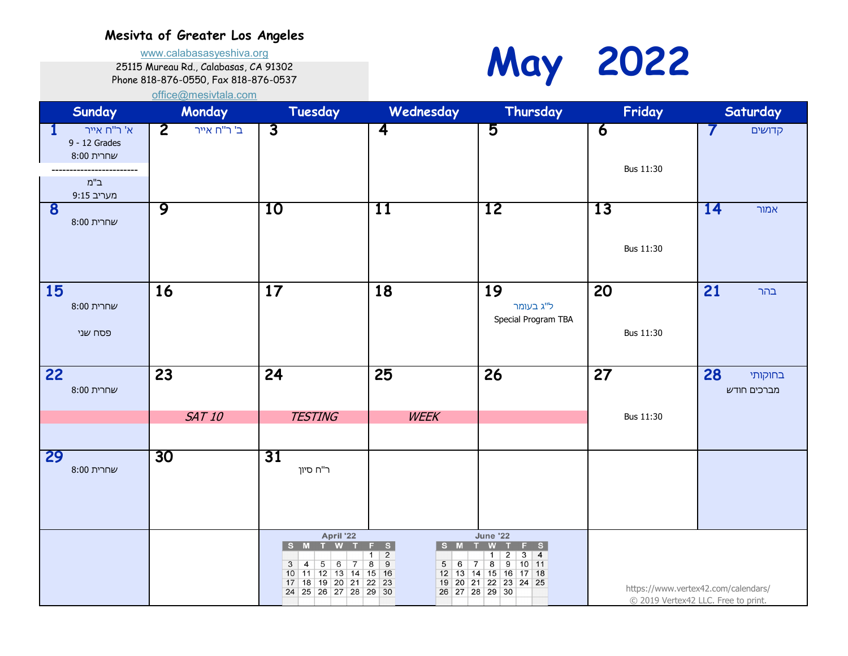www.calabasasyeshiva.org

25115 Mureau Rd., Calabasas, CA 91302

Phone 818-876-0550, Fax 818-876-0537



| Sunday                                          | Monday                        | Tuesday                                                                                                                                                   | Wednesday                                                                                                                            | Thursday                                                                                                                                                                     | Friday                             | Saturday                                                                   |
|-------------------------------------------------|-------------------------------|-----------------------------------------------------------------------------------------------------------------------------------------------------------|--------------------------------------------------------------------------------------------------------------------------------------|------------------------------------------------------------------------------------------------------------------------------------------------------------------------------|------------------------------------|----------------------------------------------------------------------------|
| א' ר"ח אייר<br>1<br>9 - 12 Grades<br>שחרית 8:00 | $\overline{2}$<br>ב' ר"ח אייר | $\overline{\mathbf{3}}$                                                                                                                                   | $\overline{\mathbf{4}}$                                                                                                              | 5                                                                                                                                                                            | $\overline{6}$<br><b>Bus 11:30</b> | 7<br>קדושים                                                                |
| $n"$ ב<br>9:15 מעריב                            |                               |                                                                                                                                                           |                                                                                                                                      |                                                                                                                                                                              |                                    |                                                                            |
| 8<br>שחרית 8:00                                 | 9                             | 10                                                                                                                                                        | 11                                                                                                                                   | 12                                                                                                                                                                           | 13                                 | 14<br>אמור                                                                 |
|                                                 |                               |                                                                                                                                                           |                                                                                                                                      |                                                                                                                                                                              | Bus 11:30                          |                                                                            |
| 15<br>שחרית 8:00                                | 16                            | 17                                                                                                                                                        | 18                                                                                                                                   | 19<br>ל"ג בעומר                                                                                                                                                              | 20                                 | 21<br>בהר                                                                  |
| פסח שני                                         |                               |                                                                                                                                                           |                                                                                                                                      | Special Program TBA                                                                                                                                                          | Bus 11:30                          |                                                                            |
|                                                 |                               |                                                                                                                                                           |                                                                                                                                      |                                                                                                                                                                              |                                    |                                                                            |
| 22<br>שחרית 8:00                                | 23                            | 24                                                                                                                                                        | 25                                                                                                                                   | 26                                                                                                                                                                           | 27                                 | 28<br>בחוקותי<br>מברכים חודש                                               |
|                                                 | <b>SAT 10</b>                 | <b>TESTING</b>                                                                                                                                            | <b>WEEK</b>                                                                                                                          |                                                                                                                                                                              | Bus 11:30                          |                                                                            |
|                                                 |                               |                                                                                                                                                           |                                                                                                                                      |                                                                                                                                                                              |                                    |                                                                            |
| 29<br>שחרית 8:00                                | 30                            | 31<br>ר"ח סיון                                                                                                                                            |                                                                                                                                      |                                                                                                                                                                              |                                    |                                                                            |
|                                                 |                               | April '22<br>S M<br>T W<br>5 <sup>1</sup><br>3<br>$\overline{4}$<br>6<br>$\overline{7}$<br>10 11 12 13 14 15 16<br>17 18 19 20 21<br>24 25 26 27 28 29 30 | S<br>$S$ M<br>T<br>F<br>$\frac{2}{9}$<br>1<br>$\overline{8}$<br>$5\overline{)}$<br>$6\overline{6}$<br> 7 <br>22 23<br>26 27 28 29 30 | <b>June '22</b><br>W<br>F <sub>S</sub><br>$\overline{2}$<br>$3 \mid 4$<br>-1<br>$\overline{\mathbf{8}}$<br>9<br>$10 \mid 11$<br>12 13 14 15 16 17 18<br>19 20 21 22 23 24 25 |                                    | https://www.vertex42.com/calendars/<br>© 2019 Vertex42 LLC. Free to print. |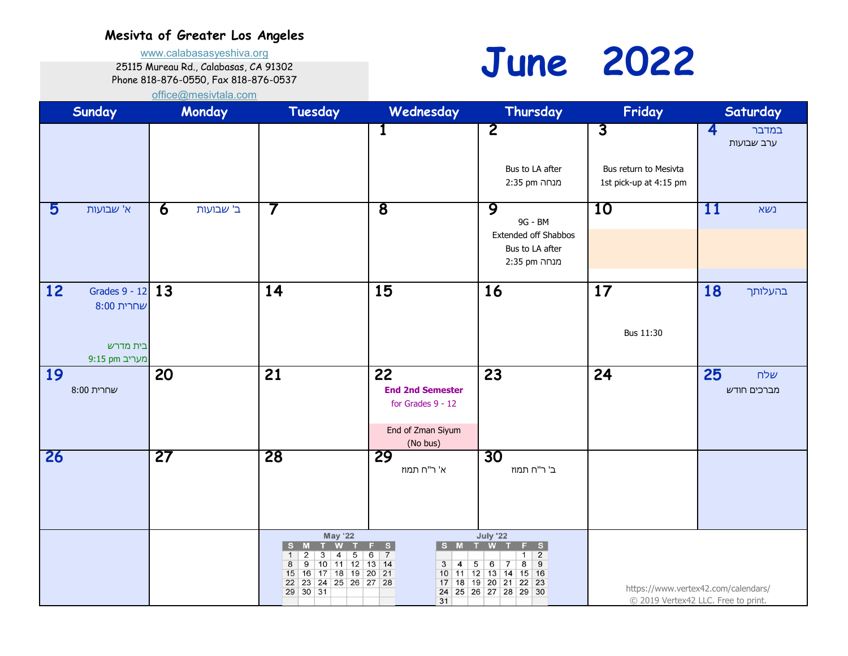www.calabasasyeshiva.org

25115 Mureau Rd., Calabasas, CA 91302

Phone 818-876-0550, Fax 818-876-0537

**June 2022**

| <b>Sunday</b>                                                     | Monday         | Tuesday                                                                                                                                                                                                                    | Wednesday                                                                                            | Thursday                                                                                                                                                            | Friday                                                            | Saturday                                                                   |
|-------------------------------------------------------------------|----------------|----------------------------------------------------------------------------------------------------------------------------------------------------------------------------------------------------------------------------|------------------------------------------------------------------------------------------------------|---------------------------------------------------------------------------------------------------------------------------------------------------------------------|-------------------------------------------------------------------|----------------------------------------------------------------------------|
|                                                                   |                |                                                                                                                                                                                                                            | 1                                                                                                    | $\overline{\mathbf{2}}$<br>Bus to LA after<br>מנחה 2:35 pm                                                                                                          | $\overline{3}$<br>Bus return to Mesivta<br>1st pick-up at 4:15 pm | $\overline{\mathbf{4}}$<br>במדבר<br>ערב שבועות                             |
| 5<br>א' שבועות                                                    | 6<br>ב' שבועות | $\prime$                                                                                                                                                                                                                   | $\overline{\mathbf{8}}$                                                                              | 9<br>9G - BM<br>Extended off Shabbos<br>Bus to LA after<br>מנחה 2:35 pm                                                                                             | 10                                                                | 11<br>נשא                                                                  |
| 12<br>Grades 9 - 12 13<br>שחרית 8:00<br>בית מדרש<br>9:15 pm מעריב |                | 14                                                                                                                                                                                                                         | 15                                                                                                   | 16                                                                                                                                                                  | 17<br>Bus 11:30                                                   | 18<br>בהעלותך                                                              |
| <b>19</b><br>שחרית 8:00                                           | 20             | 21                                                                                                                                                                                                                         | 22<br><b>End 2nd Semester</b><br>for Grades 9 - 12<br>End of Zman Siyum<br>(No bus)                  | 23                                                                                                                                                                  | 24                                                                | 25<br>שלח<br>מברכים חודש                                                   |
| 26                                                                | 27             | 28                                                                                                                                                                                                                         | 29<br>א' ר"ח תמוז                                                                                    | 30<br>ב' ר"ח תמוז                                                                                                                                                   |                                                                   |                                                                            |
|                                                                   |                | <b>May '22</b><br><b>W</b><br>M<br><b>S</b><br>т.<br>$\overline{2}$<br>$\overline{\mathbf{3}}$<br>$\overline{4}$<br>$\overline{5}$<br>10 11 12 13 14<br>8<br>9<br>15 16 17 18 19 20 21<br>22 23 24 25 26 27 28<br>29 30 31 | S<br>S M<br>т.<br>F.<br>$6 \mid 7$<br>5 <sub>5</sub><br>3 <sup>7</sup><br>$\overline{4}$<br>17<br>31 | <b>July '22</b><br><b>W</b><br>F S<br>$1 \mid 2$<br>$\overline{8}$<br>6<br>9<br>$\overline{7}$<br>10 11 12 13 14 15 16<br>18 19 20 21 22 23<br>24 25 26 27 28 29 30 |                                                                   | https://www.vertex42.com/calendars/<br>© 2019 Vertex42 LLC. Free to print. |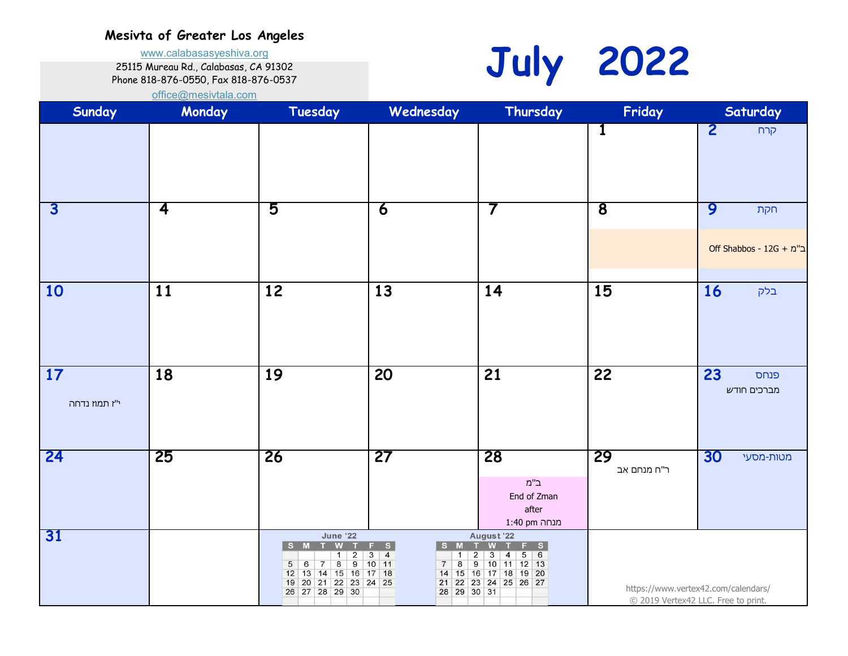www.calabasasyeshiva.org

25115 Mureau Rd., Calabasas, CA 91302

Phone 818-876-0550, Fax 818-876-0537



| Sunday                  | Monday                  | Tuesday                                                                                                                                                                            | Wednesday                                                                                                                                                 | Thursday                                                                                                                          | Friday                  | Saturday                                                                   |
|-------------------------|-------------------------|------------------------------------------------------------------------------------------------------------------------------------------------------------------------------------|-----------------------------------------------------------------------------------------------------------------------------------------------------------|-----------------------------------------------------------------------------------------------------------------------------------|-------------------------|----------------------------------------------------------------------------|
|                         |                         |                                                                                                                                                                                    |                                                                                                                                                           |                                                                                                                                   | $\mathbf 1$             | $\overline{2}$<br>קרח                                                      |
| $\overline{\mathbf{3}}$ | $\overline{\mathbf{4}}$ | 5                                                                                                                                                                                  | $\overline{\mathbf{6}}$                                                                                                                                   | 7                                                                                                                                 | $\overline{\mathbf{8}}$ | 9<br>חקת<br>Off Shabbos - 12G + ב"מ                                        |
| 10                      | 11                      | 12                                                                                                                                                                                 | 13                                                                                                                                                        | 14                                                                                                                                | 15                      | 16<br>בלק                                                                  |
| 17<br>י"ז תמוז נדחה     | $\overline{18}$         | $\overline{19}$                                                                                                                                                                    | $\overline{20}$                                                                                                                                           | $\overline{21}$                                                                                                                   | 22                      | 23<br>פנחס<br>מברכים חודש                                                  |
| 24                      | 25                      | 26                                                                                                                                                                                 | 27                                                                                                                                                        | 28<br>$\mathsf{n}$ ב"<br>End of Zman<br>after<br>מנחה 1:40 pm                                                                     | 29<br>ר"ח מנחם אב       | 30<br>מטות-מסעי                                                            |
| 31                      |                         | <b>June '22</b><br>W<br>M <sub>T</sub><br>S.<br>1<br>$\overline{2}$<br>$8 \mid 9$<br>$6\overline{6}$<br> 7 <br>5<br>12 13 14 15 16 17 18<br>19 20 21 22 23 24 25<br>26 27 28 29 30 | F.<br>S<br>S M<br>T<br>$\overline{\mathbf{3}}$<br>$\overline{4}$<br>$\overline{2}$<br>$\mathbf{1}$<br>$10$ 11<br>8<br>$\overline{7}$<br>21<br>28 29 30 31 | August '22<br>W<br>F S<br>т<br>56<br>$\overline{\mathbf{3}}$<br>4<br>$9$ 10 11 12 13<br>14 15 16 17 18 19 20<br>22 23 24 25 26 27 |                         | https://www.vertex42.com/calendars/<br>© 2019 Vertex42 LLC. Free to print. |